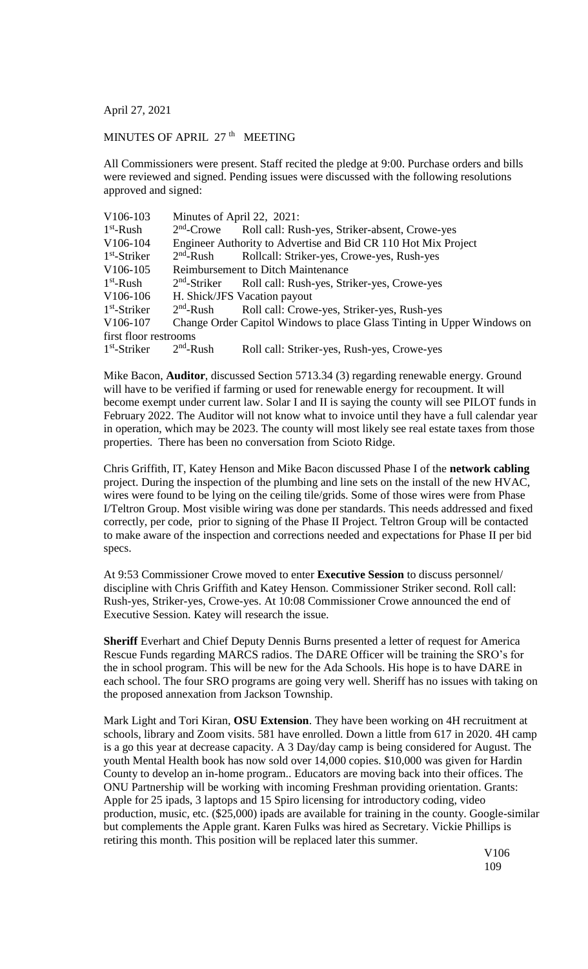April 27, 2021

## MINUTES OF APRIL 27<sup>th</sup> MEETING

All Commissioners were present. Staff recited the pledge at 9:00. Purchase orders and bills were reviewed and signed. Pending issues were discussed with the following resolutions approved and signed:

| Minutes of April 22, 2021:                |                                                                                                      |
|-------------------------------------------|------------------------------------------------------------------------------------------------------|
|                                           | Roll call: Rush-yes, Striker-absent, Crowe-yes                                                       |
|                                           | Engineer Authority to Advertise and Bid CR 110 Hot Mix Project                                       |
|                                           | Rollcall: Striker-yes, Crowe-yes, Rush-yes                                                           |
| <b>Reimbursement to Ditch Maintenance</b> |                                                                                                      |
|                                           | Roll call: Rush-yes, Striker-yes, Crowe-yes                                                          |
|                                           | H. Shick/JFS Vacation payout                                                                         |
|                                           | Roll call: Crowe-yes, Striker-yes, Rush-yes                                                          |
|                                           | Change Order Capitol Windows to place Glass Tinting in Upper Windows on                              |
|                                           |                                                                                                      |
|                                           | Roll call: Striker-yes, Rush-yes, Crowe-yes                                                          |
|                                           | $2nd$ -Crowe<br>$2nd$ -Rush<br>$2nd$ -Striker<br>$2nd$ -Rush<br>first floor restrooms<br>$2nd$ -Rush |

Mike Bacon, **Auditor**, discussed Section 5713.34 (3) regarding renewable energy. Ground will have to be verified if farming or used for renewable energy for recoupment. It will become exempt under current law. Solar I and II is saying the county will see PILOT funds in February 2022. The Auditor will not know what to invoice until they have a full calendar year in operation, which may be 2023. The county will most likely see real estate taxes from those properties. There has been no conversation from Scioto Ridge.

Chris Griffith, IT, Katey Henson and Mike Bacon discussed Phase I of the **network cabling** project. During the inspection of the plumbing and line sets on the install of the new HVAC, wires were found to be lying on the ceiling tile/grids. Some of those wires were from Phase I/Teltron Group. Most visible wiring was done per standards. This needs addressed and fixed correctly, per code, prior to signing of the Phase II Project. Teltron Group will be contacted to make aware of the inspection and corrections needed and expectations for Phase II per bid specs.

At 9:53 Commissioner Crowe moved to enter **Executive Session** to discuss personnel/ discipline with Chris Griffith and Katey Henson. Commissioner Striker second. Roll call: Rush-yes, Striker-yes, Crowe-yes. At 10:08 Commissioner Crowe announced the end of Executive Session. Katey will research the issue.

**Sheriff** Everhart and Chief Deputy Dennis Burns presented a letter of request for America Rescue Funds regarding MARCS radios. The DARE Officer will be training the SRO's for the in school program. This will be new for the Ada Schools. His hope is to have DARE in each school. The four SRO programs are going very well. Sheriff has no issues with taking on the proposed annexation from Jackson Township.

Mark Light and Tori Kiran, **OSU Extension**. They have been working on 4H recruitment at schools, library and Zoom visits. 581 have enrolled. Down a little from 617 in 2020. 4H camp is a go this year at decrease capacity. A 3 Day/day camp is being considered for August. The youth Mental Health book has now sold over 14,000 copies. \$10,000 was given for Hardin County to develop an in-home program.. Educators are moving back into their offices. The ONU Partnership will be working with incoming Freshman providing orientation. Grants: Apple for 25 ipads, 3 laptops and 15 Spiro licensing for introductory coding, video production, music, etc. (\$25,000) ipads are available for training in the county. Google-similar but complements the Apple grant. Karen Fulks was hired as Secretary. Vickie Phillips is retiring this month. This position will be replaced later this summer.

V106 109